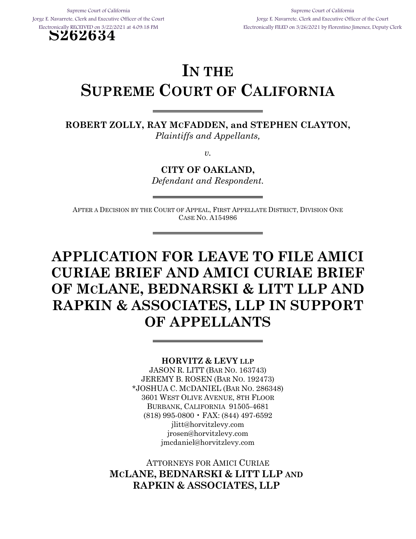**S262634**

Supreme Court of California Jorge E. Navarrete, Clerk and Executive Officer of the Court Electronically FILED on 3/26/2021 by Florentino Jimenez, Deputy Clerk

# **IN THE SUPREME COURT OF CALIFORNIA**

**ROBERT ZOLLY, RAY MCFADDEN, and STEPHEN CLAYTON,** *Plaintiffs and Appellants,*

*v.*

**CITY OF OAKLAND,** *Defendant and Respondent.*

AFTER A DECISION BY THE COURT OF APPEAL, FIRST APPELLATE DISTRICT, DIVISION ONE CASE NO. A154986

# **APPLICATION FOR LEAVE TO FILE AMICI CURIAE BRIEF AND AMICI CURIAE BRIEF OF MCLANE, BEDNARSKI & LITT LLP AND RAPKIN & ASSOCIATES, LLP IN SUPPORT OF APPELLANTS**

#### **HORVITZ & LEVY LLP**

JASON R. LITT (BAR NO. 163743) JEREMY B. ROSEN (BAR NO. 192473) \*JOSHUA C. MCDANIEL (BAR NO. 286348) 3601 WEST OLIVE AVENUE, 8TH FLOOR BURBANK, CALIFORNIA 91505-4681 (818) 995-0800 • FAX: (844) 497-6592 jlitt@horvitzlevy.com jrosen@horvitzlevy.com jmcdaniel@horvitzlevy.com

ATTORNEYS FOR AMICI CURIAE **MCLANE, BEDNARSKI & LITT LLP AND RAPKIN & ASSOCIATES, LLP**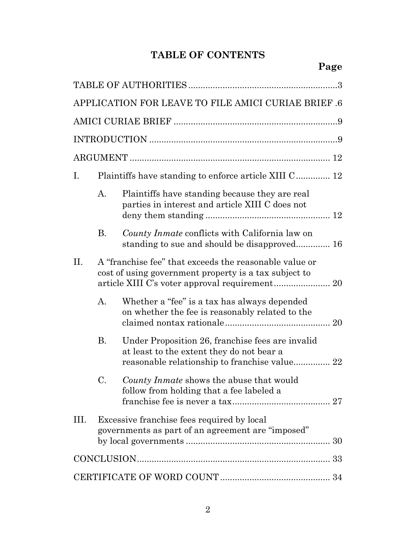# **TABLE OF CONTENTS**

| APPLICATION FOR LEAVE TO FILE AMICI CURIAE BRIEF .6 |                                                                                                                 |                                                                                                                                                |  |
|-----------------------------------------------------|-----------------------------------------------------------------------------------------------------------------|------------------------------------------------------------------------------------------------------------------------------------------------|--|
|                                                     |                                                                                                                 |                                                                                                                                                |  |
|                                                     |                                                                                                                 |                                                                                                                                                |  |
|                                                     |                                                                                                                 |                                                                                                                                                |  |
| Ι.                                                  |                                                                                                                 | Plaintiffs have standing to enforce article XIII C 12                                                                                          |  |
|                                                     | А.                                                                                                              | Plaintiffs have standing because they are real<br>parties in interest and article XIII C does not                                              |  |
|                                                     | <b>B.</b>                                                                                                       | County Inmate conflicts with California law on<br>standing to sue and should be disapproved 16                                                 |  |
| Π.                                                  | A "franchise fee" that exceeds the reasonable value or<br>cost of using government property is a tax subject to |                                                                                                                                                |  |
|                                                     | $\mathbf{A}$ .                                                                                                  | Whether a "fee" is a tax has always depended<br>on whether the fee is reasonably related to the                                                |  |
|                                                     | <b>B.</b>                                                                                                       | Under Proposition 26, franchise fees are invalid<br>at least to the extent they do not bear a<br>reasonable relationship to franchise value 22 |  |
|                                                     | C.                                                                                                              | County Inmate shows the abuse that would<br>follow from holding that a fee labeled a                                                           |  |
| III.                                                |                                                                                                                 | Excessive franchise fees required by local<br>governments as part of an agreement are "imposed"                                                |  |
|                                                     |                                                                                                                 |                                                                                                                                                |  |
|                                                     |                                                                                                                 |                                                                                                                                                |  |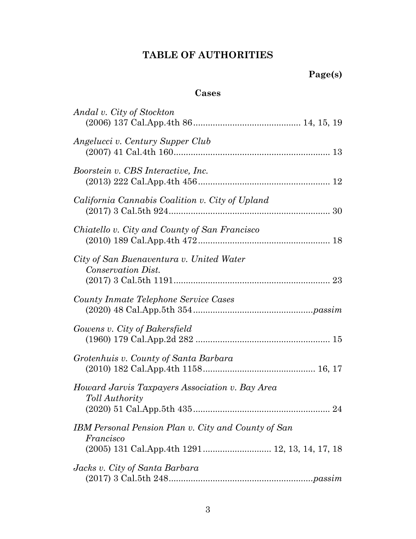# **TABLE OF AUTHORITIES**

## **Cases**

| Andal v. City of Stockton                                         |
|-------------------------------------------------------------------|
| Angelucci v. Century Supper Club                                  |
| Boorstein v. CBS Interactive, Inc.                                |
| California Cannabis Coalition v. City of Upland                   |
| Chiatello v. City and County of San Francisco                     |
| City of San Buenaventura v. United Water<br>Conservation Dist.    |
| County Inmate Telephone Service Cases                             |
| Gowens v. City of Bakersfield                                     |
| Grotenhuis v. County of Santa Barbara                             |
| Howard Jarvis Taxpayers Association v. Bay Area<br>Toll Authority |
| IBM Personal Pension Plan v. City and County of San<br>Francisco  |
| Jacks v. City of Santa Barbara                                    |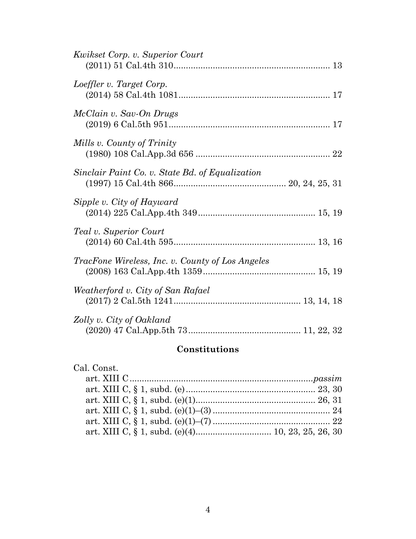| <i>Kwikset Corp. v. Superior Court</i>                  |
|---------------------------------------------------------|
| Loeffler v. Target Corp.                                |
| McClain v. Sav-On Drugs                                 |
| Mills v. County of Trinity                              |
| Sinclair Paint Co. v. State Bd. of Equalization         |
| Sipple v. City of Hayward                               |
| Teal v. Superior Court                                  |
| <i>TracFone Wireless, Inc. v. County of Los Angeles</i> |
| Weatherford v. City of San Rafael                       |
| Zolly v. City of Oakland                                |

# **Constitutions**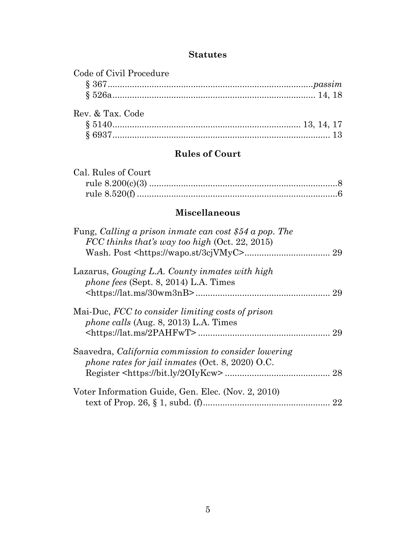## **Statutes**

| Code of Civil Procedure |  |
|-------------------------|--|
|                         |  |
|                         |  |
| Rev. & Tax. Code        |  |
|                         |  |
|                         |  |

# **Rules of Court**

| Cal. Rules of Court |  |
|---------------------|--|
|                     |  |
|                     |  |

# **Miscellaneous**

| Fung, Calling a prison inmate can cost \$54 a pop. The<br>FCC thinks that's way too high (Oct. 22, 2015) | 29 |
|----------------------------------------------------------------------------------------------------------|----|
| Lazarus, Gouging L.A. County inmates with high<br><i>phone fees</i> (Sept. 8, 2014) L.A. Times           | 29 |
| Mai-Duc, FCC to consider limiting costs of prison<br><i>phone calls</i> (Aug. 8, 2013) L.A. Times        | 29 |
| Saavedra, California commission to consider lowering<br>phone rates for jail inmates (Oct. 8, 2020) O.C. | 28 |
| Voter Information Guide, Gen. Elec. (Nov. 2, 2010)                                                       | 22 |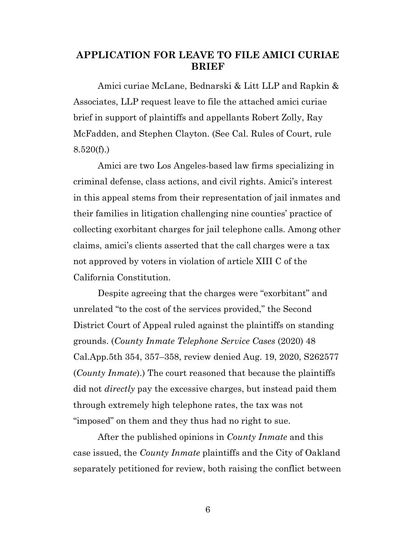## **APPLICATION FOR LEAVE TO FILE AMICI CURIAE BRIEF**

Amici curiae McLane, Bednarski & Litt LLP and Rapkin & Associates, LLP request leave to file the attached amici curiae brief in support of plaintiffs and appellants Robert Zolly, Ray McFadden, and Stephen Clayton. (See Cal. Rules of Court, rule  $8.520(f)$ .)

<span id="page-5-2"></span>Amici are two Los Angeles-based law firms specializing in criminal defense, class actions, and civil rights. Amici's interest in this appeal stems from their representation of jail inmates and their families in litigation challenging nine counties' practice of collecting exorbitant charges for jail telephone calls. Among other claims, amici's clients asserted that the call charges were a tax not approved by voters in violation of article XIII C of the California Constitution.

<span id="page-5-1"></span><span id="page-5-0"></span>Despite agreeing that the charges were "exorbitant" and unrelated "to the cost of the services provided," the Second District Court of Appeal ruled against the plaintiffs on standing grounds. (*County Inmate Telephone Service Cases* (2020) 48 Cal.App.5th 354, 357–358, review denied Aug. 19, 2020, S262577 (*County Inmate*).) The court reasoned that because the plaintiffs did not *directly* pay the excessive charges, but instead paid them through extremely high telephone rates, the tax was not "imposed" on them and they thus had no right to sue.

After the published opinions in *County Inmate* and this case issued, the *County Inmate* plaintiffs and the City of Oakland separately petitioned for review, both raising the conflict between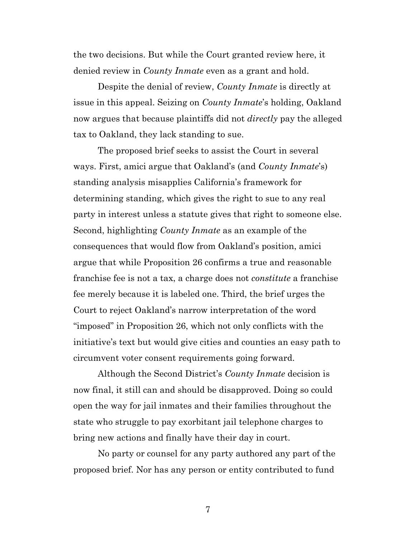the two decisions. But while the Court granted review here, it denied review in *County Inmate* even as a grant and hold.

Despite the denial of review, *County Inmate* is directly at issue in this appeal. Seizing on *County Inmate*'s holding, Oakland now argues that because plaintiffs did not *directly* pay the alleged tax to Oakland, they lack standing to sue.

The proposed brief seeks to assist the Court in several ways. First, amici argue that Oakland's (and *County Inmate*'s) standing analysis misapplies California's framework for determining standing, which gives the right to sue to any real party in interest unless a statute gives that right to someone else. Second, highlighting *County Inmate* as an example of the consequences that would flow from Oakland's position, amici argue that while Proposition 26 confirms a true and reasonable franchise fee is not a tax, a charge does not *constitute* a franchise fee merely because it is labeled one. Third, the brief urges the Court to reject Oakland's narrow interpretation of the word "imposed" in Proposition 26, which not only conflicts with the initiative's text but would give cities and counties an easy path to circumvent voter consent requirements going forward.

Although the Second District's *County Inmate* decision is now final, it still can and should be disapproved. Doing so could open the way for jail inmates and their families throughout the state who struggle to pay exorbitant jail telephone charges to bring new actions and finally have their day in court.

No party or counsel for any party authored any part of the proposed brief. Nor has any person or entity contributed to fund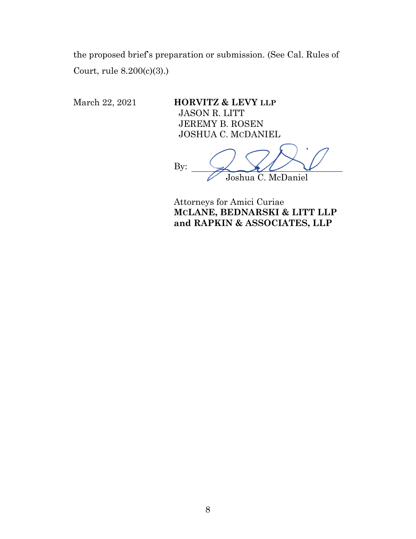the proposed brief's preparation or submission. (See Cal. Rules of Court, rule 8.200(c)(3).)

March 22, 2021 **HORVITZ & LEVY LLP** JASON R. LITT JEREMY B. ROSEN JOSHUA C. MCDANIEL

<span id="page-7-0"></span>By: Joshua C. McDaniel

Attorneys for Amici Curiae **MCLANE, BEDNARSKI & LITT LLP and RAPKIN & ASSOCIATES, LLP**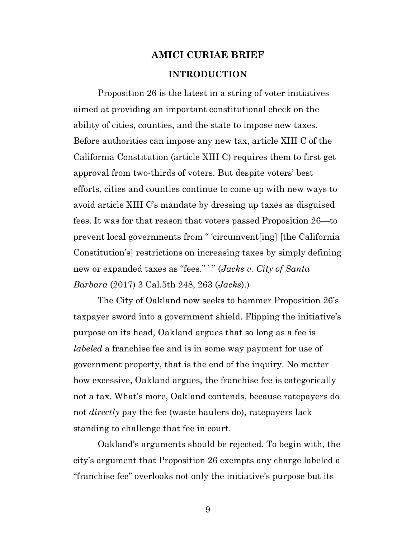# **AMICI CURIAE BRIEF INTRODUCTION**

Proposition 26 is the latest in a string of voter initiatives aimed at providing an important constitutional check on the ability of cities, counties, and the state to impose new taxes. Before authorities can impose any new tax, article XIII C of the California Constitution (article XIII C) requires them to first get approval from two-thirds of voters. But despite voters' best efforts, cities and counties continue to come up with new ways to avoid article XIII C's mandate by dressing up taxes as disguised fees. It was for that reason that voters passed Proposition 26—to prevent local governments from " 'circumvent[ing] [the California Constitution's] restrictions on increasing taxes by simply defining new or expanded taxes as "fees." ' " (*Jacks v. City of Santa Barbara* (2017) 3 Cal.5th 248, 263 (*Jacks*).)

<span id="page-8-0"></span>The City of Oakland now seeks to hammer Proposition 26's taxpayer sword into a government shield. Flipping the initiative's purpose on its head, Oakland argues that so long as a fee is *labeled* a franchise fee and is in some way payment for use of government property, that is the end of the inquiry. No matter how excessive, Oakland argues, the franchise fee is categorically not a tax. What's more, Oakland contends, because ratepayers do not *directly* pay the fee (waste haulers do), ratepayers lack standing to challenge that fee in court.

Oakland's arguments should be rejected. To begin with, the city's argument that Proposition 26 exempts any charge labeled a "franchise fee" overlooks not only the initiative's purpose but its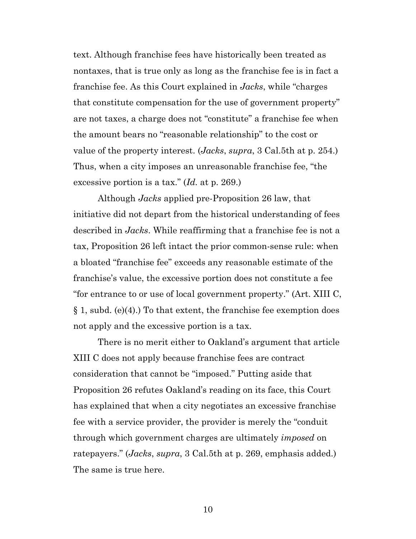text. Although franchise fees have historically been treated as nontaxes, that is true only as long as the franchise fee is in fact a franchise fee. As this Court explained in *Jacks*, while "charges that constitute compensation for the use of government property" are not taxes, a charge does not "constitute" a franchise fee when the amount bears no "reasonable relationship" to the cost or value of the property interest. (*Jacks*, *supra*, 3 Cal.5th at p. 254.) Thus, when a city imposes an unreasonable franchise fee, "the excessive portion is a tax." (*Id.* at p. 269.)

Although *Jacks* applied pre-Proposition 26 law, that initiative did not depart from the historical understanding of fees described in *Jacks*. While reaffirming that a franchise fee is not a tax, Proposition 26 left intact the prior common-sense rule: when a bloated "franchise fee" exceeds any reasonable estimate of the franchise's value, the excessive portion does not constitute a fee "for entrance to or use of local government property." (Art. XIII C,  $\S 1$ , subd. (e)(4).) To that extent, the franchise fee exemption does not apply and the excessive portion is a tax.

<span id="page-9-0"></span>There is no merit either to Oakland's argument that article XIII C does not apply because franchise fees are contract consideration that cannot be "imposed." Putting aside that Proposition 26 refutes Oakland's reading on its face, this Court has explained that when a city negotiates an excessive franchise fee with a service provider, the provider is merely the "conduit through which government charges are ultimately *imposed* on ratepayers." (*Jacks*, *supra*, 3 Cal.5th at p. 269, emphasis added.) The same is true here.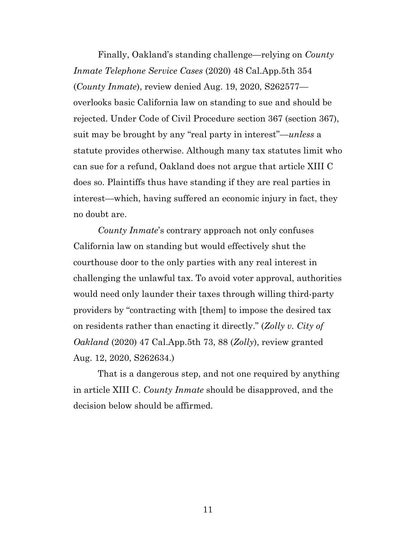<span id="page-10-1"></span>Finally, Oakland's standing challenge—relying on *County Inmate Telephone Service Cases* (2020) 48 Cal.App.5th 354 (*County Inmate*), review denied Aug. 19, 2020, S262577 overlooks basic California law on standing to sue and should be rejected. Under Code of Civil Procedure section 367 (section 367), suit may be brought by any "real party in interest"—*unless* a statute provides otherwise. Although many tax statutes limit who can sue for a refund, Oakland does not argue that article XIII C does so. Plaintiffs thus have standing if they are real parties in interest—which, having suffered an economic injury in fact, they no doubt are.

*County Inmate*'s contrary approach not only confuses California law on standing but would effectively shut the courthouse door to the only parties with any real interest in challenging the unlawful tax. To avoid voter approval, authorities would need only launder their taxes through willing third-party providers by "contracting with [them] to impose the desired tax on residents rather than enacting it directly." (*Zolly v. City of Oakland* (2020) 47 Cal.App.5th 73, 88 (*Zolly*), review granted Aug. 12, 2020, S262634.)

<span id="page-10-0"></span>That is a dangerous step, and not one required by anything in article XIII C. *County Inmate* should be disapproved, and the decision below should be affirmed.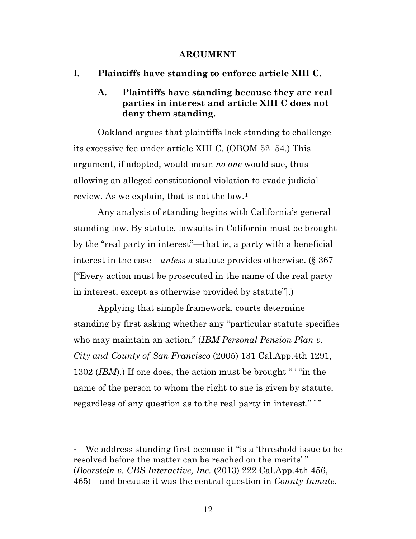#### **ARGUMENT**

**I. Plaintiffs have standing to enforce article XIII C.**

## **A. Plaintiffs have standing because they are real parties in interest and article XIII C does not deny them standing.**

Oakland argues that plaintiffs lack standing to challenge its excessive fee under article XIII C. (OBOM 52–54.) This argument, if adopted, would mean *no one* would sue, thus allowing an alleged constitutional violation to evade judicial review. As we explain, that is not the law.[1](#page-11-2)

Any analysis of standing begins with California's general standing law. By statute, lawsuits in California must be brought by the "real party in interest"—that is, a party with a beneficial interest in the case—*unless* a statute provides otherwise. (§ 367 ["Every action must be prosecuted in the name of the real party in interest, except as otherwise provided by statute"].)

<span id="page-11-1"></span>Applying that simple framework, courts determine standing by first asking whether any "particular statute specifies who may maintain an action." (*IBM Personal Pension Plan v. City and County of San Francisco* (2005) 131 Cal.App.4th 1291, 1302 (*IBM*).) If one does, the action must be brought " ' "in the name of the person to whom the right to sue is given by statute, regardless of any question as to the real party in interest.""

<span id="page-11-2"></span><span id="page-11-0"></span><sup>&</sup>lt;sup>1</sup> We address standing first because it "is a 'threshold issue to be resolved before the matter can be reached on the merits' " (*Boorstein v. CBS Interactive, Inc.* (2013) 222 Cal.App.4th 456, 465)—and because it was the central question in *County Inmate*.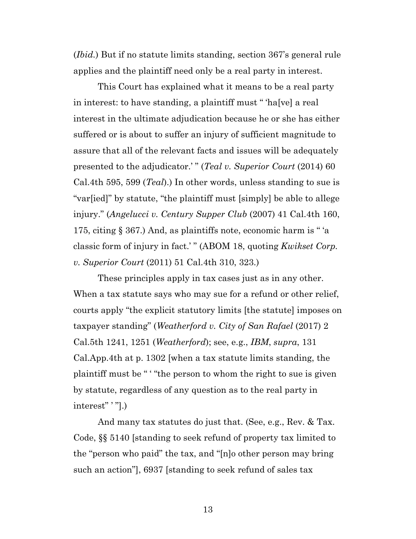<span id="page-12-1"></span>(*Ibid.*) But if no statute limits standing, section 367's general rule applies and the plaintiff need only be a real party in interest.

<span id="page-12-3"></span>This Court has explained what it means to be a real party in interest: to have standing, a plaintiff must " 'ha[ve] a real interest in the ultimate adjudication because he or she has either suffered or is about to suffer an injury of sufficient magnitude to assure that all of the relevant facts and issues will be adequately presented to the adjudicator.'" (*Teal v. Superior Court* (2014) 60 Cal.4th 595, 599 (*Teal*).) In other words, unless standing to sue is "var[ied]" by statute, "the plaintiff must [simply] be able to allege injury." (*Angelucci v. Century Supper Club* (2007) 41 Cal.4th 160, 175, citing § 367.) And, as plaintiffs note, economic harm is " 'a classic form of injury in fact.' " (ABOM 18, quoting *Kwikset Corp. v. Superior Court* (2011) 51 Cal.4th 310, 323.)

<span id="page-12-4"></span><span id="page-12-2"></span><span id="page-12-0"></span>These principles apply in tax cases just as in any other. When a tax statute says who may sue for a refund or other relief, courts apply "the explicit statutory limits [the statute] imposes on taxpayer standing" (*Weatherford v. City of San Rafael* (2017) 2 Cal.5th 1241, 1251 (*Weatherford*); see, e.g., *IBM*, *supra*, 131 Cal.App.4th at p. 1302 [when a tax statute limits standing, the plaintiff must be " ' "the person to whom the right to sue is given by statute, regardless of any question as to the real party in interest" ' "].)

<span id="page-12-5"></span>And many tax statutes do just that. (See, e.g., Rev. & Tax. Code, §§ 5140 [standing to seek refund of property tax limited to the "person who paid" the tax, and "[n]o other person may bring such an action"], 6937 [standing to seek refund of sales tax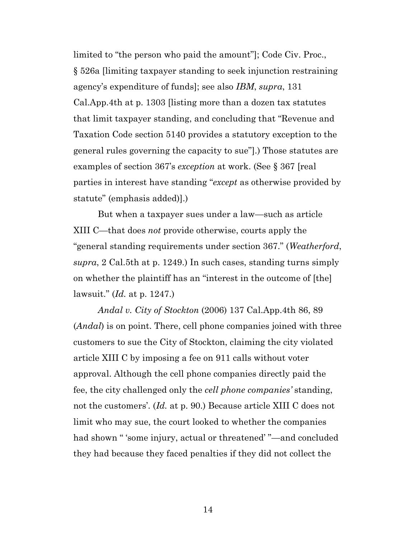<span id="page-13-4"></span><span id="page-13-3"></span><span id="page-13-1"></span>limited to "the person who paid the amount"]; Code Civ. Proc., § 526a [limiting taxpayer standing to seek injunction restraining agency's expenditure of funds]; see also *IBM*, *supra*, 131 Cal.App.4th at p. 1303 [listing more than a dozen tax statutes that limit taxpayer standing, and concluding that "Revenue and Taxation Code section 5140 provides a statutory exception to the general rules governing the capacity to sue"].) Those statutes are examples of section 367's *exception* at work. (See § 367 [real parties in interest have standing "*except* as otherwise provided by statute" (emphasis added)].)

<span id="page-13-2"></span>But when a taxpayer sues under a law—such as article XIII C—that does *not* provide otherwise, courts apply the "general standing requirements under section 367." (*Weatherford*, *supra*, 2 Cal.5th at p. 1249.) In such cases, standing turns simply on whether the plaintiff has an "interest in the outcome of [the] lawsuit." (*Id.* at p. 1247.)

<span id="page-13-0"></span>*Andal v. City of Stockton* (2006) 137 Cal.App.4th 86, 89 (*Andal*) is on point. There, cell phone companies joined with three customers to sue the City of Stockton, claiming the city violated article XIII C by imposing a fee on 911 calls without voter approval. Although the cell phone companies directly paid the fee, the city challenged only the *cell phone companies'* standing, not the customers'. (*Id.* at p. 90.) Because article XIII C does not limit who may sue, the court looked to whether the companies had shown " 'some injury, actual or threatened' "—and concluded they had because they faced penalties if they did not collect the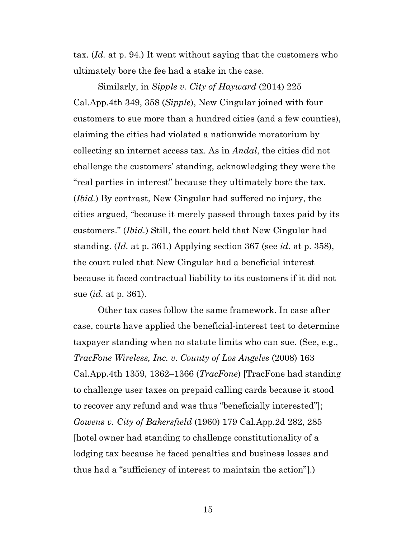<span id="page-14-0"></span>tax. (*Id.* at p. 94.) It went without saying that the customers who ultimately bore the fee had a stake in the case.

<span id="page-14-2"></span>Similarly, in *Sipple v. City of Hayward* (2014) 225 Cal.App.4th 349, 358 (*Sipple*), New Cingular joined with four customers to sue more than a hundred cities (and a few counties), claiming the cities had violated a nationwide moratorium by collecting an internet access tax. As in *Andal*, the cities did not challenge the customers' standing, acknowledging they were the "real parties in interest" because they ultimately bore the tax. (*Ibid.*) By contrast, New Cingular had suffered no injury, the cities argued, "because it merely passed through taxes paid by its customers." (*Ibid.*) Still, the court held that New Cingular had standing. (*Id.* at p. 361.) Applying section 367 (see *id.* at p. 358), the court ruled that New Cingular had a beneficial interest because it faced contractual liability to its customers if it did not sue (*id.* at p. 361).

<span id="page-14-3"></span><span id="page-14-1"></span>Other tax cases follow the same framework. In case after case, courts have applied the beneficial-interest test to determine taxpayer standing when no statute limits who can sue. (See, e.g., *TracFone Wireless, Inc. v. County of Los Angeles* (2008) 163 Cal.App.4th 1359, 1362–1366 (*TracFone*) [TracFone had standing to challenge user taxes on prepaid calling cards because it stood to recover any refund and was thus "beneficially interested"]; *Gowens v. City of Bakersfield* (1960) 179 Cal.App.2d 282, 285 [hotel owner had standing to challenge constitutionality of a lodging tax because he faced penalties and business losses and thus had a "sufficiency of interest to maintain the action"].)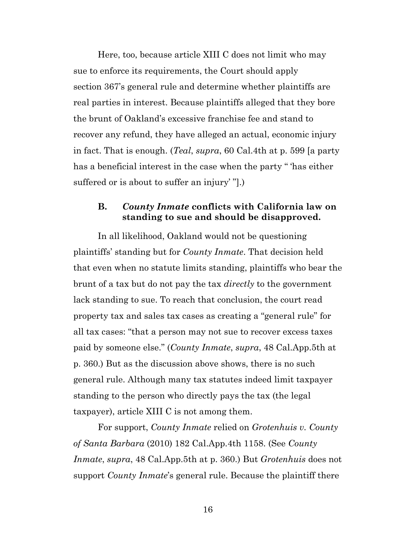Here, too, because article XIII C does not limit who may sue to enforce its requirements, the Court should apply section 367's general rule and determine whether plaintiffs are real parties in interest. Because plaintiffs alleged that they bore the brunt of Oakland's excessive franchise fee and stand to recover any refund, they have alleged an actual, economic injury in fact. That is enough. (*Teal*, *supra*, 60 Cal.4th at p. 599 [a party has a beneficial interest in the case when the party "has either suffered or is about to suffer an injury' "].)

### <span id="page-15-1"></span>**B.** *County Inmate* **conflicts with California law on standing to sue and should be disapproved.**

In all likelihood, Oakland would not be questioning plaintiffs' standing but for *County Inmate*. That decision held that even when no statute limits standing, plaintiffs who bear the brunt of a tax but do not pay the tax *directly* to the government lack standing to sue. To reach that conclusion, the court read property tax and sales tax cases as creating a "general rule" for all tax cases: "that a person may not sue to recover excess taxes paid by someone else." (*County Inmate*, *supra*, 48 Cal.App.5th at p. 360.) But as the discussion above shows, there is no such general rule. Although many tax statutes indeed limit taxpayer standing to the person who directly pays the tax (the legal taxpayer), article XIII C is not among them.

<span id="page-15-0"></span>For support, *County Inmate* relied on *Grotenhuis v. County of Santa Barbara* (2010) 182 Cal.App.4th 1158. (See *County Inmate*, *supra*, 48 Cal.App.5th at p. 360.) But *Grotenhuis* does not support *County Inmate*'s general rule. Because the plaintiff there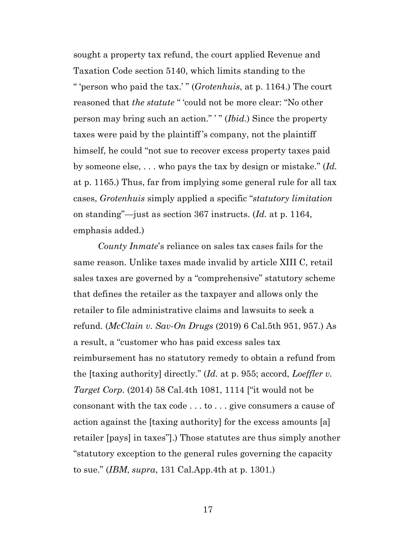<span id="page-16-4"></span><span id="page-16-0"></span>sought a property tax refund, the court applied Revenue and Taxation Code section 5140, which limits standing to the " 'person who paid the tax.' " (*Grotenhuis*, at p. 1164.) The court reasoned that *the statute* " 'could not be more clear: "No other person may bring such an action." ' " (*Ibid.*) Since the property taxes were paid by the plaintiff's company, not the plaintiff himself, he could "not sue to recover excess property taxes paid by someone else, . . . who pays the tax by design or mistake." (*Id.*  at p. 1165.) Thus, far from implying some general rule for all tax cases, *Grotenhuis* simply applied a specific "*statutory limitation* on standing"—just as section 367 instructs. (*Id.* at p. 1164, emphasis added.)

<span id="page-16-3"></span><span id="page-16-2"></span><span id="page-16-1"></span>*County Inmate*'s reliance on sales tax cases fails for the same reason. Unlike taxes made invalid by article XIII C, retail sales taxes are governed by a "comprehensive" statutory scheme that defines the retailer as the taxpayer and allows only the retailer to file administrative claims and lawsuits to seek a refund. (*McClain v. Sav-On Drugs* (2019) 6 Cal.5th 951, 957.) As a result, a "customer who has paid excess sales tax reimbursement has no statutory remedy to obtain a refund from the [taxing authority] directly." (*Id.* at p. 955; accord, *Loeffler v. Target Corp.* (2014) 58 Cal.4th 1081, 1114 ["it would not be consonant with the tax code . . . to . . . give consumers a cause of action against the [taxing authority] for the excess amounts [a] retailer [pays] in taxes"].) Those statutes are thus simply another "statutory exception to the general rules governing the capacity to sue." (*IBM*, *supra*, 131 Cal.App.4th at p. 1301.)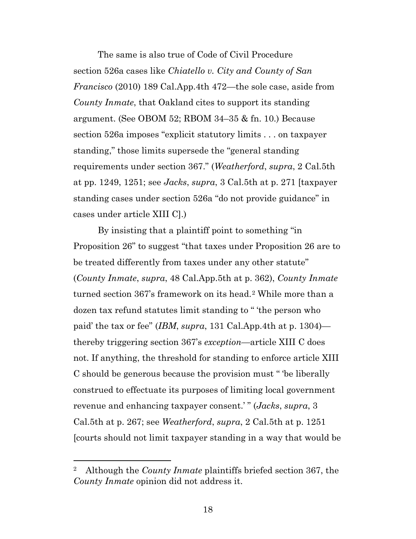<span id="page-17-3"></span><span id="page-17-0"></span>The same is also true of Code of Civil Procedure section 526a cases like *Chiatello v. City and County of San Francisco* (2010) 189 Cal.App.4th 472—the sole case, aside from *County Inmate*, that Oakland cites to support its standing argument. (See OBOM 52; RBOM 34–35 & fn. 10.) Because section 526a imposes "explicit statutory limits . . . on taxpayer standing," those limits supersede the "general standing requirements under section 367." (*Weatherford*, *supra*, 2 Cal.5th at pp. 1249, 1251; see *Jacks*, *supra*, 3 Cal.5th at p. 271 [taxpayer standing cases under section 526a "do not provide guidance" in cases under article XIII C].)

<span id="page-17-2"></span><span id="page-17-1"></span>By insisting that a plaintiff point to something "in Proposition 26" to suggest "that taxes under Proposition 26 are to be treated differently from taxes under any other statute" (*County Inmate*, *supra*, 48 Cal.App.5th at p. 362), *County Inmate* turned section 367's framework on its head.[2](#page-17-4) While more than a dozen tax refund statutes limit standing to " 'the person who paid' the tax or fee" (*IBM*, *supra*, 131 Cal.App.4th at p. 1304) thereby triggering section 367's *exception*—article XIII C does not. If anything, the threshold for standing to enforce article XIII C should be generous because the provision must " 'be liberally construed to effectuate its purposes of limiting local government revenue and enhancing taxpayer consent.' " (*Jacks*, *supra*, 3 Cal.5th at p. 267; see *Weatherford*, *supra*, 2 Cal.5th at p. 1251 [courts should not limit taxpayer standing in a way that would be

<span id="page-17-4"></span><sup>2</sup> Although the *County Inmate* plaintiffs briefed section 367, the *County Inmate* opinion did not address it.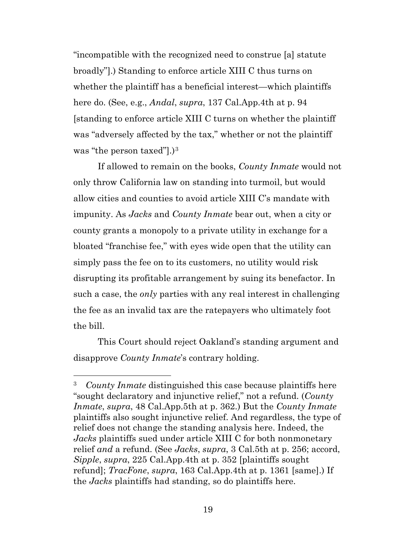<span id="page-18-0"></span>"incompatible with the recognized need to construe [a] statute broadly"].) Standing to enforce article XIII C thus turns on whether the plaintiff has a beneficial interest—which plaintiffs here do. (See, e.g., *Andal*, *supra*, 137 Cal.App.4th at p. 94 [standing to enforce article XIII C turns on whether the plaintiff was "adversely affected by the tax," whether or not the plaintiff was "the person taxed"].)<sup>[3](#page-18-3)</sup>

If allowed to remain on the books, *County Inmate* would not only throw California law on standing into turmoil, but would allow cities and counties to avoid article XIII C's mandate with impunity. As *Jacks* and *County Inmate* bear out, when a city or county grants a monopoly to a private utility in exchange for a bloated "franchise fee," with eyes wide open that the utility can simply pass the fee on to its customers, no utility would risk disrupting its profitable arrangement by suing its benefactor. In such a case, the *only* parties with any real interest in challenging the fee as an invalid tax are the ratepayers who ultimately foot the bill.

This Court should reject Oakland's standing argument and disapprove *County Inmate*'s contrary holding.

<span id="page-18-3"></span><span id="page-18-2"></span><span id="page-18-1"></span><sup>3</sup> *County Inmate* distinguished this case because plaintiffs here "sought declaratory and injunctive relief," not a refund. (*County Inmate*, *supra*, 48 Cal.App.5th at p. 362.) But the *County Inmate* plaintiffs also sought injunctive relief. And regardless, the type of relief does not change the standing analysis here. Indeed, the *Jacks* plaintiffs sued under article XIII C for both nonmonetary relief *and* a refund. (See *Jacks*, *supra*, 3 Cal.5th at p. 256; accord, *Sipple*, *supra*, 225 Cal.App.4th at p. 352 [plaintiffs sought refund]; *TracFone*, *supra*, 163 Cal.App.4th at p. 1361 [same].) If the *Jacks* plaintiffs had standing, so do plaintiffs here.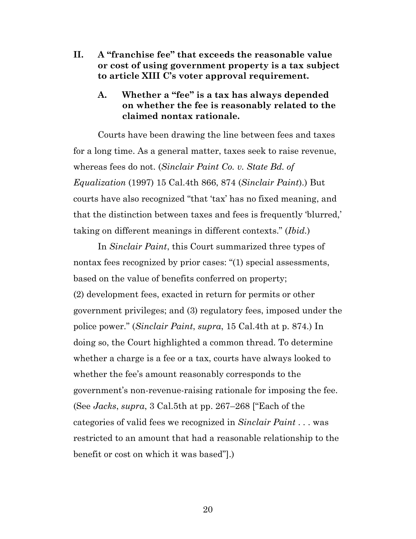- **II. A "franchise fee" that exceeds the reasonable value or cost of using government property is a tax subject to article XIII C's voter approval requirement.**
	- **A. Whether a "fee" is a tax has always depended on whether the fee is reasonably related to the claimed nontax rationale.**

<span id="page-19-0"></span>Courts have been drawing the line between fees and taxes for a long time. As a general matter, taxes seek to raise revenue, whereas fees do not. (*Sinclair Paint Co. v. State Bd. of Equalization* (1997) 15 Cal.4th 866, 874 (*Sinclair Paint*).) But courts have also recognized "that 'tax' has no fixed meaning, and that the distinction between taxes and fees is frequently 'blurred,' taking on different meanings in different contexts." (*Ibid.*)

In *Sinclair Paint*, this Court summarized three types of nontax fees recognized by prior cases: "(1) special assessments, based on the value of benefits conferred on property; (2) development fees, exacted in return for permits or other government privileges; and (3) regulatory fees, imposed under the police power." (*Sinclair Paint*, *supra*, 15 Cal.4th at p. 874.) In doing so, the Court highlighted a common thread. To determine whether a charge is a fee or a tax, courts have always looked to whether the fee's amount reasonably corresponds to the government's non-revenue-raising rationale for imposing the fee. (See *Jacks*, *supra*, 3 Cal.5th at pp. 267–268 ["Each of the categories of valid fees we recognized in *Sinclair Paint* . . . was restricted to an amount that had a reasonable relationship to the benefit or cost on which it was based"].)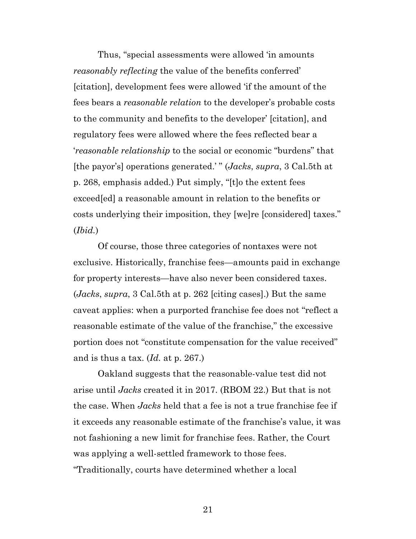Thus, "special assessments were allowed 'in amounts *reasonably reflecting* the value of the benefits conferred' [citation], development fees were allowed 'if the amount of the fees bears a *reasonable relation* to the developer's probable costs to the community and benefits to the developer' [citation], and regulatory fees were allowed where the fees reflected bear a '*reasonable relationship* to the social or economic "burdens" that [the payor's] operations generated.' " (*Jacks*, *supra*, 3 Cal.5th at p. 268, emphasis added.) Put simply, "[t]o the extent fees exceed[ed] a reasonable amount in relation to the benefits or costs underlying their imposition, they [we]re [considered] taxes." (*Ibid.*)

Of course, those three categories of nontaxes were not exclusive. Historically, franchise fees—amounts paid in exchange for property interests—have also never been considered taxes. (*Jacks*, *supra*, 3 Cal.5th at p. 262 [citing cases].) But the same caveat applies: when a purported franchise fee does not "reflect a reasonable estimate of the value of the franchise," the excessive portion does not "constitute compensation for the value received" and is thus a tax. (*Id.* at p. 267.)

Oakland suggests that the reasonable-value test did not arise until *Jacks* created it in 2017. (RBOM 22.) But that is not the case. When *Jacks* held that a fee is not a true franchise fee if it exceeds any reasonable estimate of the franchise's value, it was not fashioning a new limit for franchise fees. Rather, the Court was applying a well-settled framework to those fees. "Traditionally, courts have determined whether a local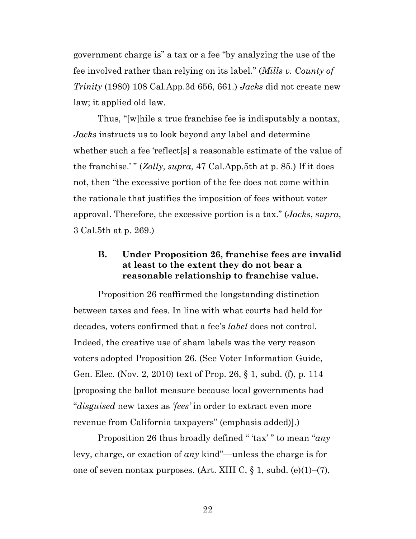<span id="page-21-0"></span>government charge is" a tax or a fee "by analyzing the use of the fee involved rather than relying on its label." (*Mills v. County of Trinity* (1980) 108 Cal.App.3d 656, 661.) *Jacks* did not create new law; it applied old law.

<span id="page-21-1"></span>Thus, "[w]hile a true franchise fee is indisputably a nontax, *Jacks* instructs us to look beyond any label and determine whether such a fee 'reflect[s] a reasonable estimate of the value of the franchise.' " (*Zolly*, *supra*, 47 Cal.App.5th at p. 85.) If it does not, then "the excessive portion of the fee does not come within the rationale that justifies the imposition of fees without voter approval. Therefore, the excessive portion is a tax." (*Jacks*, *supra*, 3 Cal.5th at p. 269.)

## <span id="page-21-3"></span>**B. Under Proposition 26, franchise fees are invalid at least to the extent they do not bear a reasonable relationship to franchise value.**

Proposition 26 reaffirmed the longstanding distinction between taxes and fees. In line with what courts had held for decades, voters confirmed that a fee's *label* does not control. Indeed, the creative use of sham labels was the very reason voters adopted Proposition 26. (See Voter Information Guide, Gen. Elec. (Nov. 2, 2010) text of Prop. 26, § 1, subd. (f), p. 114 [proposing the ballot measure because local governments had "*disguised* new taxes as *'fees'* in order to extract even more revenue from California taxpayers" (emphasis added)].)

<span id="page-21-2"></span>Proposition 26 thus broadly defined " 'tax' " to mean "*any* levy, charge, or exaction of *any* kind"—unless the charge is for one of seven nontax purposes. (Art. XIII C,  $\S$  1, subd. (e)(1)–(7),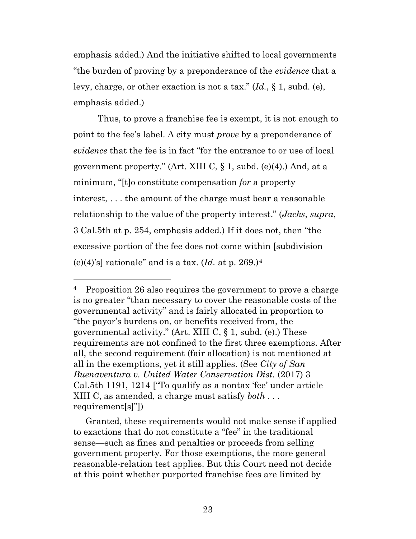emphasis added.) And the initiative shifted to local governments "the burden of proving by a preponderance of the *evidence* that a levy, charge, or other exaction is not a tax." (*Id.*, § 1, subd. (e), emphasis added.)

<span id="page-22-2"></span>Thus, to prove a franchise fee is exempt, it is not enough to point to the fee's label. A city must *prove* by a preponderance of *evidence* that the fee is in fact "for the entrance to or use of local government property." (Art. XIII C,  $\S$  1, subd. (e)(4).) And, at a minimum, "[t]o constitute compensation *for* a property interest, . . . the amount of the charge must bear a reasonable relationship to the value of the property interest." (*Jacks*, *supra*, 3 Cal.5th at p. 254, emphasis added.) If it does not, then "the excessive portion of the fee does not come within [subdivision (e)([4](#page-22-3))'s] rationale" and is a tax.  $(Id.$  at p. 269.)<sup>4</sup>

<span id="page-22-0"></span>Granted, these requirements would not make sense if applied to exactions that do not constitute a "fee" in the traditional sense—such as fines and penalties or proceeds from selling government property. For those exemptions, the more general reasonable-relation test applies. But this Court need not decide at this point whether purported franchise fees are limited by

<span id="page-22-3"></span><span id="page-22-1"></span><sup>&</sup>lt;sup>4</sup> Proposition 26 also requires the government to prove a charge is no greater "than necessary to cover the reasonable costs of the governmental activity" and is fairly allocated in proportion to "the payor's burdens on, or benefits received from, the governmental activity." (Art. XIII C,  $\S$  1, subd. (e).) These requirements are not confined to the first three exemptions. After all, the second requirement (fair allocation) is not mentioned at all in the exemptions, yet it still applies. (See *City of San Buenaventura v. United Water Conservation Dist.* (2017) 3 Cal.5th 1191, 1214 ["To qualify as a nontax 'fee' under article XIII C, as amended, a charge must satisfy *both* . . . requirement[s]"])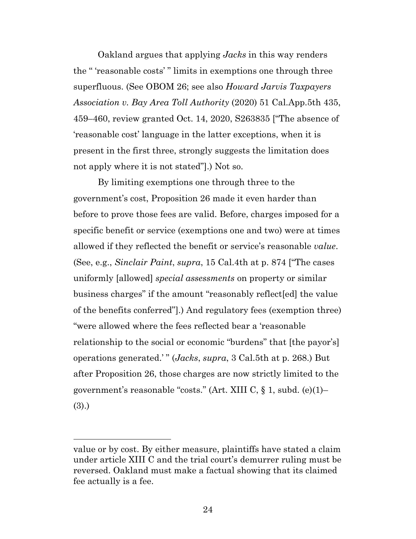<span id="page-23-0"></span>Oakland argues that applying *Jacks* in this way renders the " 'reasonable costs' " limits in exemptions one through three superfluous. (See OBOM 26; see also *Howard Jarvis Taxpayers Association v. Bay Area Toll Authority* (2020) 51 Cal.App.5th 435, 459–460, review granted Oct. 14, 2020, S263835 ["The absence of 'reasonable cost' language in the latter exceptions, when it is present in the first three, strongly suggests the limitation does not apply where it is not stated"].) Not so.

<span id="page-23-1"></span>By limiting exemptions one through three to the government's cost, Proposition 26 made it even harder than before to prove those fees are valid. Before, charges imposed for a specific benefit or service (exemptions one and two) were at times allowed if they reflected the benefit or service's reasonable *value*. (See, e.g., *Sinclair Paint*, *supra*, 15 Cal.4th at p. 874 ["The cases uniformly [allowed] *special assessments* on property or similar business charges" if the amount "reasonably reflect[ed] the value of the benefits conferred"].) And regulatory fees (exemption three) "were allowed where the fees reflected bear a 'reasonable relationship to the social or economic "burdens" that [the payor's] operations generated.' " (*Jacks*, *supra*, 3 Cal.5th at p. 268.) But after Proposition 26, those charges are now strictly limited to the government's reasonable "costs." (Art. XIII C,  $\S$  1, subd. (e)(1)-(3).)

<span id="page-23-2"></span>value or by cost. By either measure, plaintiffs have stated a claim under article XIII C and the trial court's demurrer ruling must be reversed. Oakland must make a factual showing that its claimed fee actually is a fee.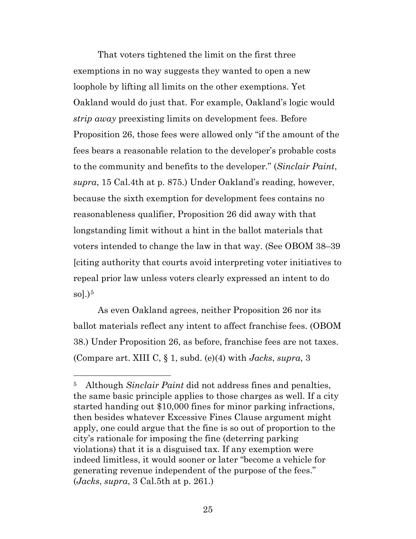<span id="page-24-0"></span>That voters tightened the limit on the first three exemptions in no way suggests they wanted to open a new loophole by lifting all limits on the other exemptions. Yet Oakland would do just that. For example, Oakland's logic would *strip away* preexisting limits on development fees. Before Proposition 26, those fees were allowed only "if the amount of the fees bears a reasonable relation to the developer's probable costs to the community and benefits to the developer." (*Sinclair Paint*, *supra*, 15 Cal.4th at p. 875.) Under Oakland's reading, however, because the sixth exemption for development fees contains no reasonableness qualifier, Proposition 26 did away with that longstanding limit without a hint in the ballot materials that voters intended to change the law in that way. (See OBOM 38–39 [citing authority that courts avoid interpreting voter initiatives to repeal prior law unless voters clearly expressed an intent to do sol. $)^5$  $)^5$ 

As even Oakland agrees, neither Proposition 26 nor its ballot materials reflect any intent to affect franchise fees. (OBOM 38.) Under Proposition 26, as before, franchise fees are not taxes. (Compare art. XIII C, § 1, subd. (e)(4) with *Jacks*, *supra*, 3

<span id="page-24-2"></span><span id="page-24-1"></span><sup>5</sup> Although *Sinclair Paint* did not address fines and penalties, the same basic principle applies to those charges as well. If a city started handing out \$10,000 fines for minor parking infractions, then besides whatever Excessive Fines Clause argument might apply, one could argue that the fine is so out of proportion to the city's rationale for imposing the fine (deterring parking violations) that it is a disguised tax. If any exemption were indeed limitless, it would sooner or later "become a vehicle for generating revenue independent of the purpose of the fees." (*Jacks*, *supra*, 3 Cal.5th at p. 261.)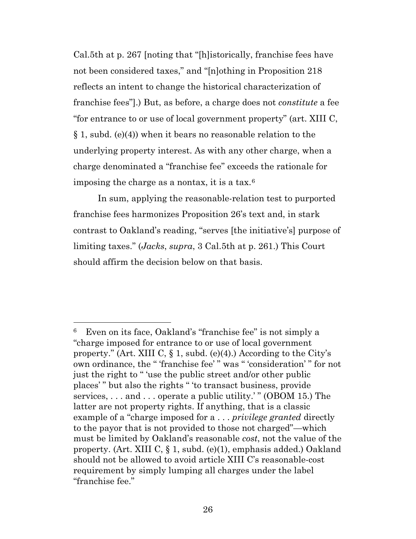<span id="page-25-1"></span>Cal.5th at p. 267 [noting that "[h]istorically, franchise fees have not been considered taxes," and "[n]othing in Proposition 218 reflects an intent to change the historical characterization of franchise fees"].) But, as before, a charge does not *constitute* a fee "for entrance to or use of local government property" (art. XIII C, § 1, subd. (e)(4)) when it bears no reasonable relation to the underlying property interest. As with any other charge, when a charge denominated a "franchise fee" exceeds the rationale for imposing the charge as a nontax, it is a tax.[6](#page-25-2)

In sum, applying the reasonable-relation test to purported franchise fees harmonizes Proposition 26's text and, in stark contrast to Oakland's reading, "serves [the initiative's] purpose of limiting taxes." (*Jacks*, *supra*, 3 Cal.5th at p. 261.) This Court should affirm the decision below on that basis.

<span id="page-25-2"></span><span id="page-25-0"></span><sup>6</sup> Even on its face, Oakland's "franchise fee" is not simply a "charge imposed for entrance to or use of local government property." (Art. XIII C,  $\S$  1, subd. (e)(4).) According to the City's own ordinance, the " 'franchise fee' " was " 'consideration' " for not just the right to " 'use the public street and/or other public places' " but also the rights " 'to transact business, provide services, ... and ... operate a public utility.'" (OBOM 15.) The latter are not property rights. If anything, that is a classic example of a "charge imposed for a . . . *privilege granted* directly to the payor that is not provided to those not charged"—which must be limited by Oakland's reasonable *cost*, not the value of the property. (Art. XIII C, § 1, subd. (e)(1), emphasis added.) Oakland should not be allowed to avoid article XIII C's reasonable-cost requirement by simply lumping all charges under the label "franchise fee."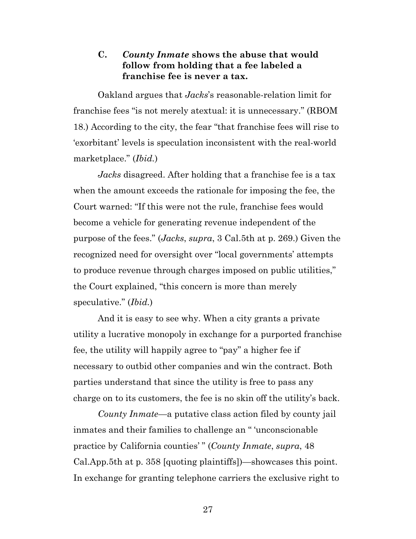### **C.** *County Inmate* **shows the abuse that would follow from holding that a fee labeled a franchise fee is never a tax.**

Oakland argues that *Jacks*'s reasonable-relation limit for franchise fees "is not merely atextual: it is unnecessary." (RBOM 18.) According to the city, the fear "that franchise fees will rise to 'exorbitant' levels is speculation inconsistent with the real-world marketplace." (*Ibid.*)

*Jacks* disagreed. After holding that a franchise fee is a tax when the amount exceeds the rationale for imposing the fee, the Court warned: "If this were not the rule, franchise fees would become a vehicle for generating revenue independent of the purpose of the fees." (*Jacks*, *supra*, 3 Cal.5th at p. 269.) Given the recognized need for oversight over "local governments' attempts to produce revenue through charges imposed on public utilities," the Court explained, "this concern is more than merely speculative." (*Ibid.*)

And it is easy to see why. When a city grants a private utility a lucrative monopoly in exchange for a purported franchise fee, the utility will happily agree to "pay" a higher fee if necessary to outbid other companies and win the contract. Both parties understand that since the utility is free to pass any charge on to its customers, the fee is no skin off the utility's back.

*County Inmate—*a putative class action filed by county jail inmates and their families to challenge an " 'unconscionable practice by California counties' " (*County Inmate*, *supra*, 48 Cal.App.5th at p. 358 [quoting plaintiffs])—showcases this point. In exchange for granting telephone carriers the exclusive right to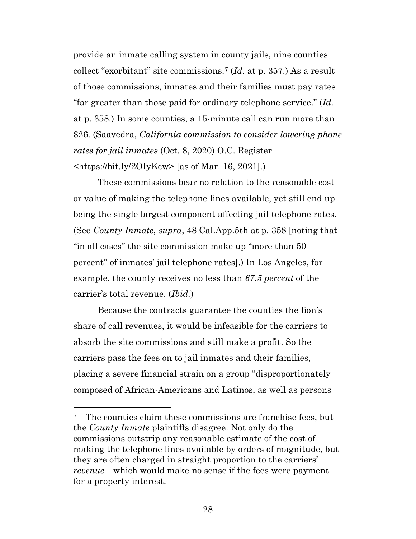provide an inmate calling system in county jails, nine counties collect "exorbitant" site commissions.[7](#page-27-1) (*Id.* at p. 357.) As a result of those commissions, inmates and their families must pay rates "far greater than those paid for ordinary telephone service." (*Id.* at p. 358.) In some counties, a 15-minute call can run more than \$26. (Saavedra, *California commission to consider lowering phone rates for jail inmates* (Oct. 8, 2020) O.C. Register  $\langle \text{https://bit.ly/201yKcw>} [as of Mar. 16, 2021]. \rangle$ 

<span id="page-27-0"></span>These commissions bear no relation to the reasonable cost or value of making the telephone lines available, yet still end up being the single largest component affecting jail telephone rates. (See *County Inmate*, *supra*, 48 Cal.App.5th at p. 358 [noting that "in all cases" the site commission make up "more than 50 percent" of inmates' jail telephone rates].) In Los Angeles, for example, the county receives no less than *67.5 percent* of the carrier's total revenue. (*Ibid.*)

Because the contracts guarantee the counties the lion's share of call revenues, it would be infeasible for the carriers to absorb the site commissions and still make a profit. So the carriers pass the fees on to jail inmates and their families, placing a severe financial strain on a group "disproportionately composed of African-Americans and Latinos, as well as persons

<span id="page-27-1"></span><sup>&</sup>lt;sup>7</sup> The counties claim these commissions are franchise fees, but the *County Inmate* plaintiffs disagree. Not only do the commissions outstrip any reasonable estimate of the cost of making the telephone lines available by orders of magnitude, but they are often charged in straight proportion to the carriers' *revenue*—which would make no sense if the fees were payment for a property interest.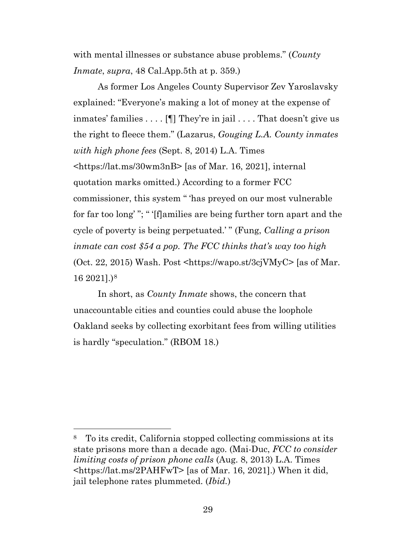with mental illnesses or substance abuse problems." (*County Inmate*, *supra*, 48 Cal.App.5th at p. 359.)

<span id="page-28-1"></span>As former Los Angeles County Supervisor Zev Yaroslavsky explained: "Everyone's making a lot of money at the expense of inmates' families . . . . [¶] They're in jail . . . . That doesn't give us the right to fleece them." (Lazarus, *Gouging L.A. County inmates with high phone fees* (Sept. 8, 2014) L.A. Times <https://lat.ms/30wm3nB> [as of Mar. 16, 2021], internal quotation marks omitted.) According to a former FCC commissioner, this system " 'has preyed on our most vulnerable for far too long' "; " '[f]amilies are being further torn apart and the cycle of poverty is being perpetuated.' " (Fung, *Calling a prison inmate can cost \$54 a pop. The FCC thinks that's way too high* (Oct. 22, 2015) Wash. Post  $\text{thttps:}/\text{/wapo.st/3cj}$ VMyC $\text{~[as of Mar.]}$ 16 2021].)[8](#page-28-3)

<span id="page-28-0"></span>In short, as *County Inmate* shows, the concern that unaccountable cities and counties could abuse the loophole Oakland seeks by collecting exorbitant fees from willing utilities is hardly "speculation." (RBOM 18.)

<span id="page-28-3"></span><span id="page-28-2"></span><sup>8</sup> To its credit, California stopped collecting commissions at its state prisons more than a decade ago. (Mai-Duc, *FCC to consider limiting costs of prison phone calls* (Aug. 8, 2013) L.A. Times <https://lat.ms/2PAHFwT> [as of Mar. 16, 2021].) When it did, jail telephone rates plummeted. (*Ibid.*)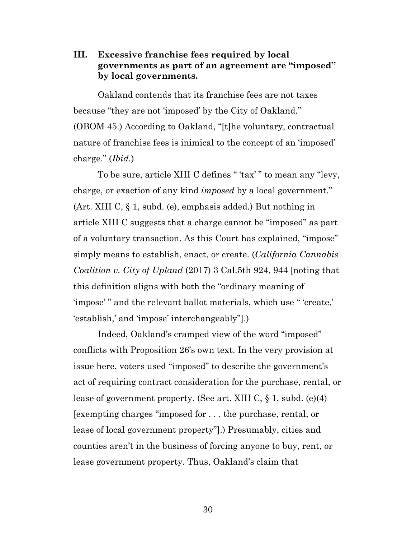## **III. Excessive franchise fees required by local governments as part of an agreement are "imposed" by local governments.**

Oakland contends that its franchise fees are not taxes because "they are not 'imposed' by the City of Oakland." (OBOM 45.) According to Oakland, "[t]he voluntary, contractual nature of franchise fees is inimical to the concept of an 'imposed' charge." (*Ibid.*)

<span id="page-29-1"></span><span id="page-29-0"></span>To be sure, article XIII C defines " 'tax' " to mean any "levy, charge, or exaction of any kind *imposed* by a local government." (Art. XIII C, § 1, subd. (e), emphasis added.) But nothing in article XIII C suggests that a charge cannot be "imposed" as part of a voluntary transaction. As this Court has explained, "impose" simply means to establish, enact, or create. (*California Cannabis Coalition v. City of Upland* (2017) 3 Cal.5th 924, 944 [noting that this definition aligns with both the "ordinary meaning of 'impose' " and the relevant ballot materials, which use " 'create,' 'establish,' and 'impose' interchangeably"].)

<span id="page-29-2"></span>Indeed, Oakland's cramped view of the word "imposed" conflicts with Proposition 26's own text. In the very provision at issue here, voters used "imposed" to describe the government's act of requiring contract consideration for the purchase, rental, or lease of government property. (See art. XIII C, § 1, subd. (e)(4) [exempting charges "imposed for . . . the purchase, rental, or lease of local government property"].) Presumably, cities and counties aren't in the business of forcing anyone to buy, rent, or lease government property. Thus, Oakland's claim that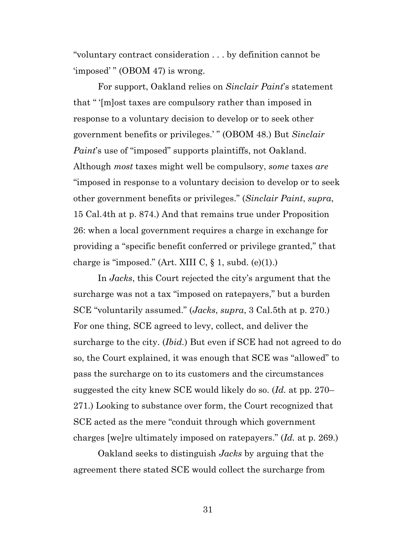"voluntary contract consideration . . . by definition cannot be 'imposed' " (OBOM 47) is wrong.

<span id="page-30-0"></span>For support, Oakland relies on *Sinclair Paint*'s statement that " '[m]ost taxes are compulsory rather than imposed in response to a voluntary decision to develop or to seek other government benefits or privileges.' " (OBOM 48.) But *Sinclair Paint*'s use of "imposed" supports plaintiffs, not Oakland. Although *most* taxes might well be compulsory, *some* taxes *are* "imposed in response to a voluntary decision to develop or to seek other government benefits or privileges." (*Sinclair Paint*, *supra*, 15 Cal.4th at p. 874.) And that remains true under Proposition 26: when a local government requires a charge in exchange for providing a "specific benefit conferred or privilege granted," that charge is "imposed." (Art. XIII C,  $\S$  1, subd. (e)(1).)

<span id="page-30-1"></span>In *Jacks*, this Court rejected the city's argument that the surcharge was not a tax "imposed on ratepayers," but a burden SCE "voluntarily assumed." (*Jacks*, *supra*, 3 Cal.5th at p. 270.) For one thing, SCE agreed to levy, collect, and deliver the surcharge to the city. (*Ibid.*) But even if SCE had not agreed to do so, the Court explained, it was enough that SCE was "allowed" to pass the surcharge on to its customers and the circumstances suggested the city knew SCE would likely do so. (*Id.* at pp. 270– 271.) Looking to substance over form, the Court recognized that SCE acted as the mere "conduit through which government charges [we]re ultimately imposed on ratepayers." (*Id.* at p. 269.)

Oakland seeks to distinguish *Jacks* by arguing that the agreement there stated SCE would collect the surcharge from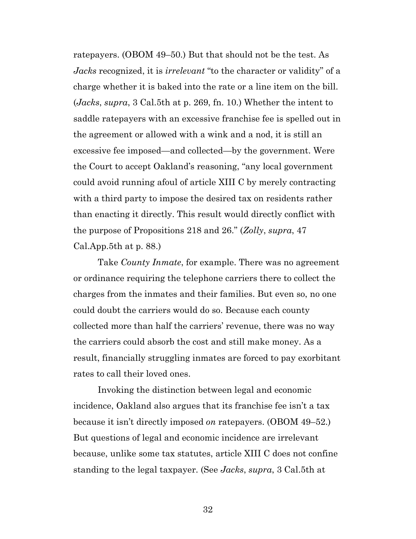ratepayers. (OBOM 49–50.) But that should not be the test. As *Jacks* recognized, it is *irrelevant* "to the character or validity" of a charge whether it is baked into the rate or a line item on the bill. (*Jacks*, *supra*, 3 Cal.5th at p. 269, fn. 10.) Whether the intent to saddle ratepayers with an excessive franchise fee is spelled out in the agreement or allowed with a wink and a nod, it is still an excessive fee imposed—and collected—by the government. Were the Court to accept Oakland's reasoning, "any local government could avoid running afoul of article XIII C by merely contracting with a third party to impose the desired tax on residents rather than enacting it directly. This result would directly conflict with the purpose of Propositions 218 and 26." (*Zolly*, *supra*, 47 Cal.App.5th at p. 88.)

<span id="page-31-0"></span>Take *County Inmate*, for example. There was no agreement or ordinance requiring the telephone carriers there to collect the charges from the inmates and their families. But even so, no one could doubt the carriers would do so. Because each county collected more than half the carriers' revenue, there was no way the carriers could absorb the cost and still make money. As a result, financially struggling inmates are forced to pay exorbitant rates to call their loved ones.

Invoking the distinction between legal and economic incidence, Oakland also argues that its franchise fee isn't a tax because it isn't directly imposed *on* ratepayers. (OBOM 49–52.) But questions of legal and economic incidence are irrelevant because, unlike some tax statutes, article XIII C does not confine standing to the legal taxpayer. (See *Jacks*, *supra*, 3 Cal.5th at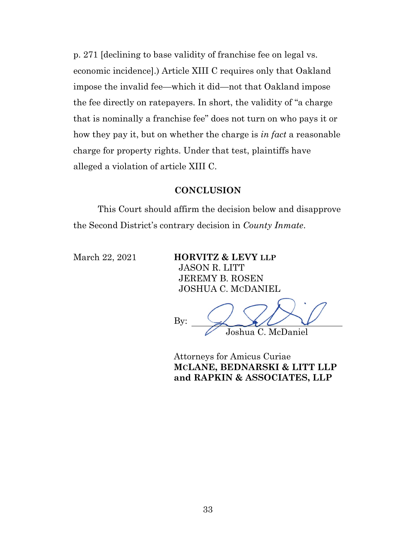p. 271 [declining to base validity of franchise fee on legal vs. economic incidence].) Article XIII C requires only that Oakland impose the invalid fee—which it did—not that Oakland impose the fee directly on ratepayers. In short, the validity of "a charge that is nominally a franchise fee" does not turn on who pays it or how they pay it, but on whether the charge is *in fact* a reasonable charge for property rights. Under that test, plaintiffs have alleged a violation of article XIII C.

#### **CONCLUSION**

This Court should affirm the decision below and disapprove the Second District's contrary decision in *County Inmate*.

March 22, 2021 **HORVITZ & LEVY LLP** JASON R. LITT JEREMY B. ROSEN JOSHUA C. MCDANIEL

By: Joshua C. McDaniel

Attorneys for Amicus Curiae **MCLANE, BEDNARSKI & LITT LLP and RAPKIN & ASSOCIATES, LLP**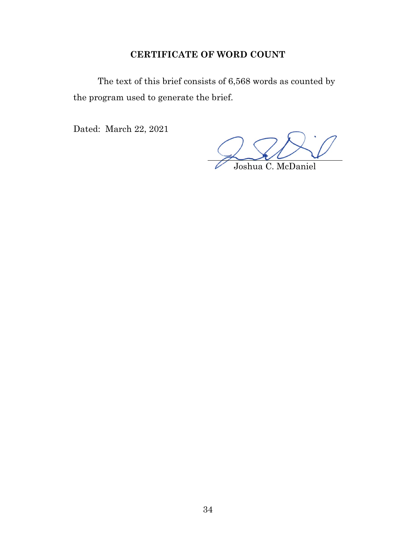## **CERTIFICATE OF WORD COUNT**

The text of this brief consists of 6,568 words as counted by the program used to generate the brief.

Dated: March 22, 2021

Joshua C. McDaniel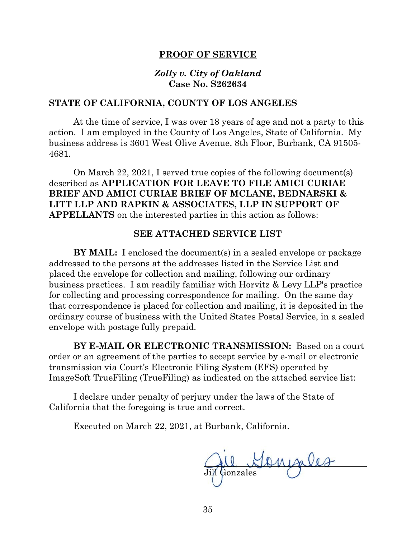#### **PROOF OF SERVICE**

#### *Zolly v. City of Oakland* **Case No. S262634**

#### **STATE OF CALIFORNIA, COUNTY OF LOS ANGELES**

At the time of service, I was over 18 years of age and not a party to this action. I am employed in the County of Los Angeles, State of California. My business address is 3601 West Olive Avenue, 8th Floor, Burbank, CA 91505- 4681.

On March 22, 2021, I served true copies of the following document(s) described as **APPLICATION FOR LEAVE TO FILE AMICI CURIAE BRIEF AND AMICI CURIAE BRIEF OF MCLANE, BEDNARSKI & LITT LLP AND RAPKIN & ASSOCIATES, LLP IN SUPPORT OF APPELLANTS** on the interested parties in this action as follows:

#### **SEE ATTACHED SERVICE LIST**

**BY MAIL:** I enclosed the document(s) in a sealed envelope or package addressed to the persons at the addresses listed in the Service List and placed the envelope for collection and mailing, following our ordinary business practices. I am readily familiar with Horvitz & Levy LLP's practice for collecting and processing correspondence for mailing. On the same day that correspondence is placed for collection and mailing, it is deposited in the ordinary course of business with the United States Postal Service, in a sealed envelope with postage fully prepaid.

**BY E-MAIL OR ELECTRONIC TRANSMISSION:** Based on a court order or an agreement of the parties to accept service by e-mail or electronic transmission via Court's Electronic Filing System (EFS) operated by ImageSoft TrueFiling (TrueFiling) as indicated on the attached service list:

I declare under penalty of perjury under the laws of the State of California that the foregoing is true and correct.

Executed on March 22, 2021, at Burbank, California.

ongiles Jill Gonzales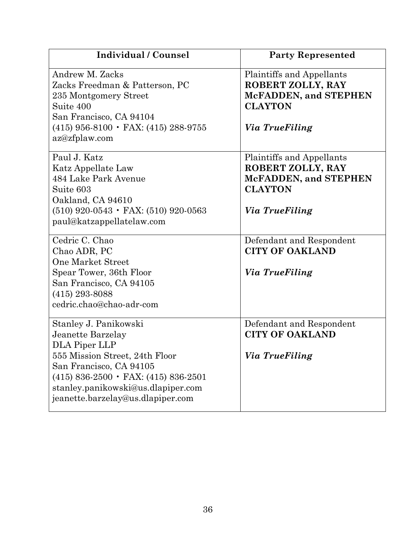| Individual / Counsel                                                                                                                                                                                                                                 | <b>Party Represented</b>                                                                                           |
|------------------------------------------------------------------------------------------------------------------------------------------------------------------------------------------------------------------------------------------------------|--------------------------------------------------------------------------------------------------------------------|
| Andrew M. Zacks<br>Zacks Freedman & Patterson, PC<br>235 Montgomery Street<br>Suite 400<br>San Francisco, CA 94104<br>$(415)$ 956-8100 $\cdot$ FAX: (415) 288-9755<br>az@zfplaw.com                                                                  | Plaintiffs and Appellants<br>ROBERT ZOLLY, RAY<br>McFADDEN, and STEPHEN<br><b>CLAYTON</b><br>Via TrueFiling        |
| Paul J. Katz<br>Katz Appellate Law<br>484 Lake Park Avenue<br>Suite 603<br>Oakland, CA 94610<br>$(510)$ 920-0543 • FAX: (510) 920-0563<br>paul@katzappellatelaw.com                                                                                  | Plaintiffs and Appellants<br>ROBERT ZOLLY, RAY<br><b>McFADDEN, and STEPHEN</b><br><b>CLAYTON</b><br>Via TrueFiling |
| Cedric C. Chao<br>Chao ADR, PC<br><b>One Market Street</b><br>Spear Tower, 36th Floor<br>San Francisco, CA 94105<br>$(415)$ 293-8088<br>cedric.chao@chao-adr-com                                                                                     | Defendant and Respondent<br><b>CITY OF OAKLAND</b><br><i>Via TrueFiling</i>                                        |
| Stanley J. Panikowski<br>Jeanette Barzelay<br>DLA Piper LLP<br>555 Mission Street, 24th Floor<br>San Francisco, CA 94105<br>$(415) 836-2500 \cdot FAX$ : $(415) 836-2501$<br>stanley.panikowski@us.dlapiper.com<br>jeanette.barzelay@us.dlapiper.com | Defendant and Respondent<br><b>CITY OF OAKLAND</b><br>Via TrueFiling                                               |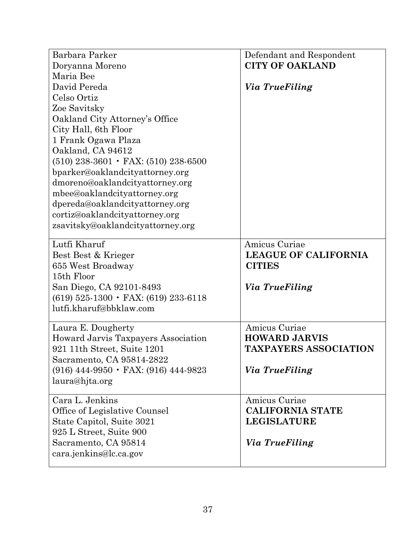| Barbara Parker<br>Doryanna Moreno<br>Maria Bee<br>David Pereda<br>Celso Ortiz<br>Zoe Savitsky<br>Oakland City Attorney's Office<br>City Hall, 6th Floor<br>1 Frank Ogawa Plaza<br>Oakland, CA 94612<br>$(510)$ 238-3601 $\cdot$ FAX: (510) 238-6500<br>bparker@oaklandcityattorney.org<br>dmoreno@oaklandcityattorney.org | Defendant and Respondent<br><b>CITY OF OAKLAND</b><br>Via TrueFiling                    |
|---------------------------------------------------------------------------------------------------------------------------------------------------------------------------------------------------------------------------------------------------------------------------------------------------------------------------|-----------------------------------------------------------------------------------------|
| mbee@oaklandcityattorney.org<br>dpereda@oaklandcityattorney.org<br>cortiz@oaklandcityattorney.org<br>zsavitsky@oaklandcityattorney.org                                                                                                                                                                                    |                                                                                         |
| Lutfi Kharuf<br>Best Best & Krieger<br>655 West Broadway<br>15th Floor<br>San Diego, CA 92101-8493<br>$(619)$ 525-1300 $\cdot$ FAX: $(619)$ 233-6118<br>lutfi.kharuf@bbklaw.com                                                                                                                                           | Amicus Curiae<br><b>LEAGUE OF CALIFORNIA</b><br><b>CITIES</b><br>Via TrueFiling         |
| Laura E. Dougherty<br>Howard Jarvis Taxpayers Association<br>921 11th Street, Suite 1201<br>Sacramento, CA 95814-2822<br>$(916)$ 444-9950 $\cdot$ FAX: (916) 444-9823<br>laura@hjta.org                                                                                                                                   | Amicus Curiae<br><b>HOWARD JARVIS</b><br><b>TAXPAYERS ASSOCIATION</b><br>Via TrueFiling |
| Cara L. Jenkins<br>Office of Legislative Counsel<br>State Capitol, Suite 3021<br>925 L Street, Suite 900<br>Sacramento, CA 95814<br>cara.jenkins@lc.ca.gov                                                                                                                                                                | Amicus Curiae<br><b>CALIFORNIA STATE</b><br><b>LEGISLATURE</b><br>Via TrueFiling        |